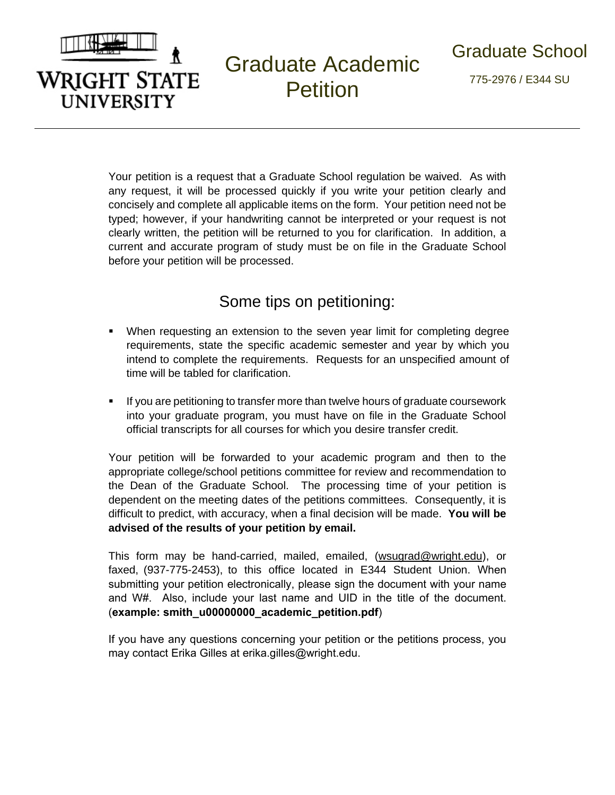

## Graduate Academic **Petition**

775-2976 / E344 SU

Your petition is a request that a Graduate School regulation be waived. As with any request, it will be processed quickly if you write your petition clearly and concisely and complete all applicable items on the form. Your petition need not be typed; however, if your handwriting cannot be interpreted or your request is not clearly written, the petition will be returned to you for clarification. In addition, a current and accurate program of study must be on file in the Graduate School before your petition will be processed.

## Some tips on petitioning:

- When requesting an extension to the seven year limit for completing degree requirements, state the specific academic semester and year by which you intend to complete the requirements. Requests for an unspecified amount of time will be tabled for clarification.
- If you are petitioning to transfer more than twelve hours of graduate coursework into your graduate program, you must have on file in the Graduate School official transcripts for all courses for which you desire transfer credit.

Your petition will be forwarded to your academic program and then to the appropriate college/school petitions committee for review and recommendation to the Dean of the Graduate School. The processing time of your petition is dependent on the meeting dates of the petitions committees. Consequently, it is difficult to predict, with accuracy, when a final decision will be made. **You will be advised of the results of your petition by email.**

This form may be hand-carried, mailed, emailed, (wsugrad@wright.edu), or faxed, (937-775-2453), to this office located in E344 Student Union. When submitting your petition electronically, please sign the document with your name and W#. Also, include your last name and UID in the title of the document. (**example: smith\_u00000000\_academic\_petition.pdf**)

If you have any questions concerning your petition or the petitions process, you may contact Erika Gilles at erika.gilles@wright.edu.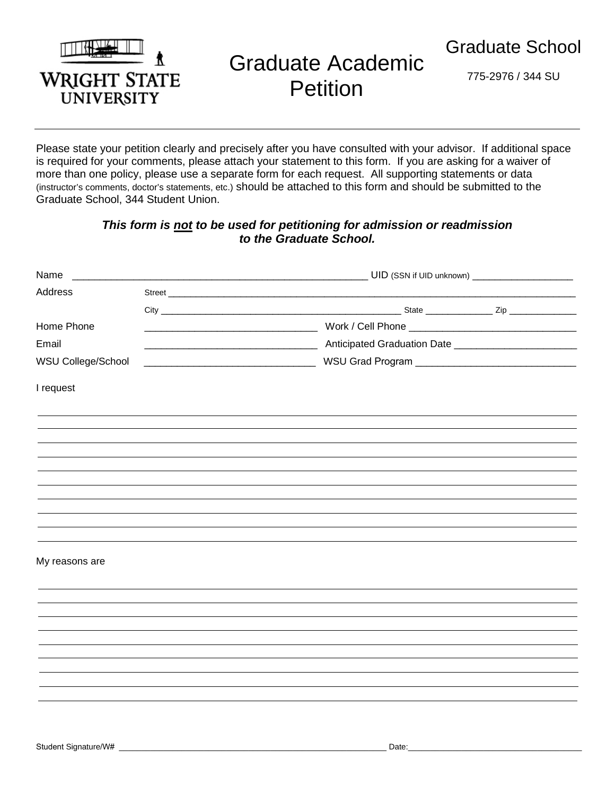

## Graduate Academic **Petition**

775-2976 / 344 SU

Please state your petition clearly and precisely after you have consulted with your advisor. If additional space is required for your comments, please attach your statement to this form. If you are asking for a waiver of more than one policy, please use a separate form for each request. All supporting statements or data (instructor's comments, doctor's statements, etc.) should be attached to this form and should be submitted to the Graduate School, 344 Student Union.

## *This form is not to be used for petitioning for admission or readmission to the Graduate School.*

| Name               |  | UID (SSN if UID unknown) ________________________        |  |
|--------------------|--|----------------------------------------------------------|--|
| Address            |  |                                                          |  |
|                    |  |                                                          |  |
| Home Phone         |  |                                                          |  |
| Email              |  | Anticipated Graduation Date ____________________________ |  |
| WSU College/School |  |                                                          |  |
| I request          |  |                                                          |  |
|                    |  |                                                          |  |
|                    |  |                                                          |  |
|                    |  |                                                          |  |
|                    |  |                                                          |  |
|                    |  |                                                          |  |
|                    |  |                                                          |  |
|                    |  |                                                          |  |
| My reasons are     |  |                                                          |  |
|                    |  |                                                          |  |
|                    |  |                                                          |  |
|                    |  |                                                          |  |
|                    |  |                                                          |  |
|                    |  |                                                          |  |
|                    |  |                                                          |  |
|                    |  |                                                          |  |
|                    |  |                                                          |  |
|                    |  |                                                          |  |